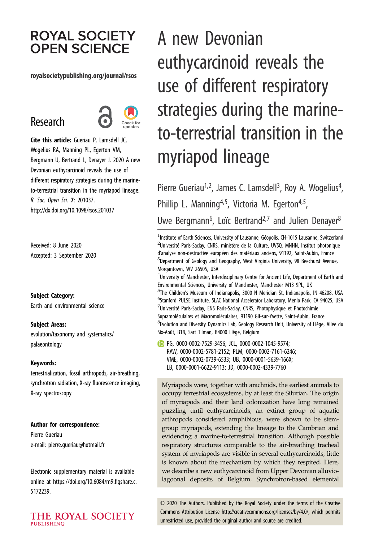# **ROYAL SOCIETY OPEN SCIENCE**

### royalsocietypublishing.org/journal/rsos

# Research



Cite this article: Gueriau P, Lamsdell JC, Wogelius RA, Manning PL, Egerton VM, Bergmann U, Bertrand L, Denayer J. 2020 A new Devonian euthycarcinoid reveals the use of different respiratory strategies during the marineto-terrestrial transition in the myriapod lineage. R. Soc. Open Sci. 7: 201037. http://dx.doi.org/10.1098/rsos.201037

Received: 8 June 2020 Accepted: 3 September 2020

#### Subject Category:

Earth and environmental science

#### Subject Areas:

evolution/taxonomy and systematics/ palaeontology

#### Keywords:

terrestrialization, fossil arthropods, air-breathing, synchrotron radiation, X-ray fluorescence imaging, X-ray spectroscopy

#### Author for correspondence:

Pierre Gueriau e-mail: [pierre.gueriau@hotmail.fr](mailto:pierre.gueriau@hotmail.fr)

Electronic supplementary material is available online at [https://doi.org/10.6084/m9.figshare.c.](https://doi.org/10.6084/m9.figshare.c.5172239) [5172239.](https://doi.org/10.6084/m9.figshare.c.5172239)

### THE ROYAL SOCIETY **PUBLISHING**

A new Devonian euthycarcinoid reveals the use of different respiratory strategies during the marineto-terrestrial transition in the myriapod lineage

Pierre Gueriau<sup>1,2</sup>, James C. Lamsdell<sup>3</sup>, Roy A. Wogelius<sup>4</sup> , Phillip L. Manning<sup>4,5</sup>, Victoria M. Egerton<sup>4,5</sup>, Uwe Bergmann<sup>6</sup>, Loïc Bertrand<sup>2,7</sup> and Julien Denayer<sup>8</sup>

<sup>1</sup> Institute of Earth Sciences, University of Lausanne, Géopolis, CH-1015 Lausanne, Switzerland  $^{2}$ Université Paris-Saclay, CNRS, ministère de la Culture, UVSQ, MNHN, Institut photonique d'analyse non-destructive européen des matériaux anciens, 91192, Saint-Aubin, France  $^3$ Department of Geology and Geography, West Virginia University, 98 Beechurst Avenue, Morgantown, WV 26505, USA

 $^4$ University of Manchester, Interdisciplinary Centre for Ancient Life, Department of Earth and Environmental Sciences, University of Manchester, Manchester M13 9PL, UK <sup>5</sup>The Children's Museum of Indianapolis, 3000 N Meridian St, Indianapolis, IN 46208, USA 6 Stanford PULSE Institute, SLAC National Accelerator Laboratory, Menlo Park, CA 94025, USA  $\mathrm{^{7}}$ Université Paris-Saclay, ENS Paris-Saclay, CNRS, Photophysique et Photochimie Supramoléculaires et Macromoléculaires, 91190 Gif-sur-Yvette, Saint-Aubin, France  ${}^{8}$ Evolution and Diversity Dynamics Lab, Geology Research Unit, University of Liège, Allée du Six-Août, B18, Sart Tilman, B4000 Liège, Belgium

PG, [0000-0002-7529-3456](http://orcid.org/0000-0002-7529-3456); JCL, [0000-0002-1045-9574;](http://orcid.org/0000-0002-1045-9574) RAW, [0000-0002-5781-2152;](http://orcid.org/0000-0002-5781-2152) PLM, [0000-0002-7161-6246;](http://orcid.org/0000-0002-7161-6246) VME, [0000-0002-0739-6533;](http://orcid.org/0000-0002-0739-6533) UB, [0000-0001-5639-166X;](http://orcid.org/0000-0001-5639-166X) LB, [0000-0001-6622-9113;](http://orcid.org/0000-0001-6622-9113) JD, [0000-0002-4339-7760](http://orcid.org/0000-0002-4339-7760)

Myriapods were, together with arachnids, the earliest animals to occupy terrestrial ecosystems, by at least the Silurian. The origin of myriapods and their land colonization have long remained puzzling until euthycarcinoids, an extinct group of aquatic arthropods considered amphibious, were shown to be stemgroup myriapods, extending the lineage to the Cambrian and evidencing a marine-to-terrestrial transition. Although possible respiratory structures comparable to the air-breathing tracheal system of myriapods are visible in several euthycarcinoids, little is known about the mechanism by which they respired. Here, we describe a new euthycarcinoid from Upper Devonian alluviolagoonal deposits of Belgium. Synchrotron-based elemental

© 2020 The Authors. Published by the Royal Society under the terms of the Creative Commons Attribution License<http://creativecommons.org/licenses/by/4.0/>, which permits unrestricted use, provided the original author and source are credited.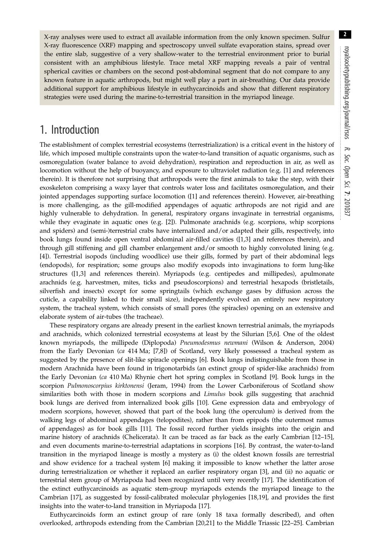X-ray analyses were used to extract all available information from the only known specimen. Sulfur X-ray fluorescence (XRF) mapping and spectroscopy unveil sulfate evaporation stains, spread over the entire slab, suggestive of a very shallow-water to the terrestrial environment prior to burial consistent with an amphibious lifestyle. Trace metal XRF mapping reveals a pair of ventral spherical cavities or chambers on the second post-abdominal segment that do not compare to any known feature in aquatic arthropods, but might well play a part in air-breathing. Our data provide additional support for amphibious lifestyle in euthycarcinoids and show that different respiratory strategies were used during the marine-to-terrestrial transition in the myriapod lineage.

# 1. Introduction

The establishment of complex terrestrial ecosystems (terrestrialization) is a critical event in the history of life, which imposed multiple constraints upon the water-to-land transition of aquatic organisms, such as osmoregulation (water balance to avoid dehydration), respiration and reproduction in air, as well as locomotion without the help of buoyancy, and exposure to ultraviolet radiation (e.g. [[1](#page-7-0)] and references therein). It is therefore not surprising that arthropods were the first animals to take the step, with their exoskeleton comprising a waxy layer that controls water loss and facilitates osmoregulation, and their jointed appendages supporting surface locomotion ([[1](#page-7-0)] and references therein). However, air-breathing is more challenging, as the gill-modified appendages of aquatic arthropods are not rigid and are highly vulnerable to dehydration. In general, respiratory organs invaginate in terrestrial organisms, while they evaginate in aquatic ones (e.g. [\[2\]](#page-7-0)). Pulmonate arachnids (e.g. scorpions, whip scorpions and spiders) and (semi-)terrestrial crabs have internalized and/or adapted their gills, respectively, into book lungs found inside open ventral abdominal air-filled cavities ([[1,3\]](#page-7-0) and references therein), and through gill stiffening and gill chamber enlargement and/or smooth to highly convoluted lining (e.g. [\[4\]](#page-7-0)). Terrestrial isopods (including woodlice) use their gills, formed by part of their abdominal legs (endopods), for respiration; some groups also modify exopods into invaginations to form lung-like structures ([[1,3\]](#page-7-0) and references therein). Myriapods (e.g. centipedes and millipedes), apulmonate arachnids (e.g. harvestmen, mites, ticks and pseudoscorpions) and terrestrial hexapods (bristletails, silverfish and insects) except for some springtails (which exchange gases by diffusion across the cuticle, a capability linked to their small size), independently evolved an entirely new respiratory system, the tracheal system, which consists of small pores (the spiracles) opening on an extensive and elaborate system of air-tubes (the tracheae).

These respiratory organs are already present in the earliest known terrestrial animals, the myriapods and arachnids, which colonized terrestrial ecosystems at least by the Silurian [\[5,6\]](#page-7-0). One of the oldest known myriapods, the millipede (Diplopoda) Pneumodesmus newmani (Wilson & Anderson, 2004) from the Early Devonian (ca 414 Ma; [[7](#page-7-0),[8](#page-7-0)]) of Scotland, very likely possessed a tracheal system as suggested by the presence of slit-like spiracle openings [\[6\]](#page-7-0). Book lungs indistinguishable from those in modern Arachnida have been found in trigonotarbids (an extinct group of spider-like arachnids) from the Early Devonian (ca 410 Ma) Rhynie chert hot spring complex in Scotland [\[9\]](#page-7-0). Book lungs in the scorpion Pulmonoscorpius kirktonensi (Jeram, 1994) from the Lower Carboniferous of Scotland show similarities both with those in modern scorpions and Limulus book gills suggesting that arachnid book lungs are derived from internalized book gills [[10\]](#page-7-0). Gene expression data and embryology of modern scorpions, however, showed that part of the book lung (the operculum) is derived from the walking legs of abdominal appendages (telopodites), rather than from epipods (the outermost ramus of appendages) as for book gills [\[11\]](#page-7-0). The fossil record further yields insights into the origin and marine history of arachnids (Chelicerata). It can be traced as far back as the early Cambrian [[12](#page-7-0)–[15](#page-7-0)], and even documents marine-to-terrestrial adaptations in scorpions [[16\]](#page-7-0). By contrast, the water-to-land transition in the myriapod lineage is mostly a mystery as (i) the oldest known fossils are terrestrial and show evidence for a tracheal system [[6](#page-7-0)] making it impossible to know whether the latter arose during terrestrialization or whether it replaced an earlier respiratory organ [[3](#page-7-0)], and (ii) no aquatic or terrestrial stem group of Myriapoda had been recognized until very recently [[17](#page-7-0)]. The identification of the extinct euthycarcinoids as aquatic stem-group myriapods extends the myriapod lineage to the Cambrian [\[17](#page-7-0)], as suggested by fossil-calibrated molecular phylogenies [[18,19](#page-7-0)], and provides the first insights into the water-to-land transition in Myriapoda [\[17](#page-7-0)].

Euthycarcinoids form an extinct group of rare (only 18 taxa formally described), and often overlooked, arthropods extending from the Cambrian [\[20](#page-7-0),[21\]](#page-7-0) to the Middle Triassic [\[22](#page-8-0)–[25\]](#page-8-0). Cambrian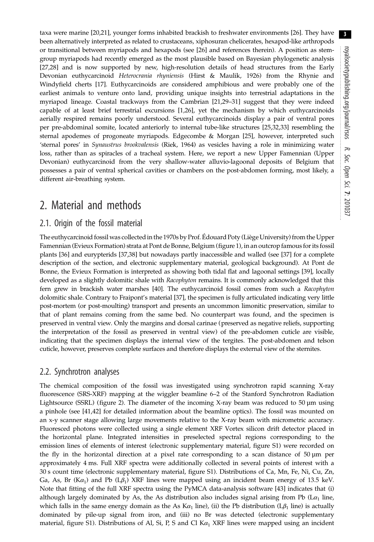taxa were marine [[20,21\]](#page-7-0), younger forms inhabited brackish to freshwater environments [[26\]](#page-8-0). They have been alternatively interpreted as related to crustaceans, xiphosuran chelicerates, hexapod-like arthropods or transitional between myriapods and hexapods (see [\[26](#page-8-0)] and references therein). A position as stemgroup myriapods had recently emerged as the most plausible based on Bayesian phylogenetic analysis [\[27](#page-8-0),[28\]](#page-8-0) and is now supported by new, high-resolution details of head structures from the Early Devonian euthycarcinoid Heterocrania rhyniensis (Hirst & Maulik, 1926) from the Rhynie and Windyfield cherts [[17\]](#page-7-0). Euthycarcinoids are considered amphibious and were probably one of the earliest animals to venture onto land, providing unique insights into terrestrial adaptations in the myriapod lineage. Coastal trackways from the Cambrian [[21](#page-7-0)[,29](#page-8-0)–[31\]](#page-8-0) suggest that they were indeed capable of at least brief terrestrial excursions [\[1,](#page-7-0)[26](#page-8-0)], yet the mechanism by which euthycarcinoids aerially respired remains poorly understood. Several euthycarcinoids display a pair of ventral pores per pre-abdominal somite, located anteriorly to internal tube-like structures [\[25,32](#page-8-0),[33](#page-8-0)] resembling the sternal apodemes of progoneate myriapods. Edgecombe & Morgan [[25\]](#page-8-0), however, interpreted such 'sternal pores' in Synaustrus brookvalensis (Riek, 1964) as vesicles having a role in minimizing water loss, rather than as spiracles of a tracheal system. Here, we report a new Upper Famennian (Upper Devonian) euthycarcinoid from the very shallow-water alluvio-lagoonal deposits of Belgium that possesses a pair of ventral spherical cavities or chambers on the post-abdomen forming, most likely, a different air-breathing system.

## 2. Material and methods

### 2.1. Origin of the fossil material

The euthycarcinoid fossil was collected in the 1970s by Prof. Édouard Poty (Liège University) from the Upper Famennian (Evieux Formation) strata at Pont de Bonne, Belgium [\(figure 1\)](#page-3-0), in an outcrop famous for its fossil plants [\[36](#page-8-0)] and eurypterids [[37,38\]](#page-8-0) but nowadays partly inaccessible and walled (see [\[37](#page-8-0)] for a complete description of the section, and electronic supplementary material, geological background). At Pont de Bonne, the Evieux Formation is interpreted as showing both tidal flat and lagoonal settings [[39\]](#page-8-0), locally developed as a slightly dolomitic shale with Racophyton remains. It is commonly acknowledged that this fern grew in brackish water marshes [\[40](#page-8-0)]. The euthycarcinoid fossil comes from such a Racophyton dolomitic shale. Contrary to Fraipont's material [[37](#page-8-0)], the specimen is fully articulated indicating very little post-mortem (or post-moulting) transport and presents an uncommon limonitic preservation, similar to that of plant remains coming from the same bed. No counterpart was found, and the specimen is preserved in ventral view. Only the margins and dorsal carinae (preserved as negative reliefs, supporting the interpretation of the fossil as preserved in ventral view) of the pre-abdomen cuticle are visible, indicating that the specimen displays the internal view of the tergites. The post-abdomen and telson cuticle, however, preserves complete surfaces and therefore displays the external view of the sternites.

### 2.2. Synchrotron analyses

The chemical composition of the fossil was investigated using synchrotron rapid scanning X-ray fluorescence (SRS-XRF) mapping at the wiggler beamline 6–2 of the Stanford Synchrotron Radiation Lightsource (SSRL) [\(figure 2\)](#page-4-0). The diameter of the incoming X-ray beam was reduced to 50 µm using a pinhole (see [[41,42](#page-8-0)] for detailed information about the beamline optics). The fossil was mounted on an x-y scanner stage allowing large movements relative to the X-ray beam with micrometric accuracy. Fluoresced photons were collected using a single element XRF Vortex silicon drift detector placed in the horizontal plane. Integrated intensities in preselected spectral regions corresponding to the emission lines of elements of interest (electronic supplementary material, figure S1) were recorded on the fly in the horizontal direction at a pixel rate corresponding to a scan distance of  $50 \mu m$  per approximately 4 ms. Full XRF spectra were additionally collected in several points of interest with a 30 s count time (electronic supplementary material, figure S1). Distributions of Ca, Mn, Fe, Ni, Cu, Zn, Ga, As, Br (K $\alpha_1$ ) and Pb (L $\beta_1$ ) XRF lines were mapped using an incident beam energy of 13.5 keV. Note that fitting of the full XRF spectra using the PyMCA data-analysis software [[43\]](#page-8-0) indicates that (i) although largely dominated by As, the As distribution also includes signal arising from Pb ( $La<sub>1</sub>$  line, which falls in the same energy domain as the As K $\alpha_1$  line), (ii) the Pb distribution (L $\beta_1$  line) is actually dominated by pile-up signal from iron, and (iii) no Br was detected (electronic supplementary material, figure S1). Distributions of Al, Si, P, S and Cl K $\alpha_1$  XRF lines were mapped using an incident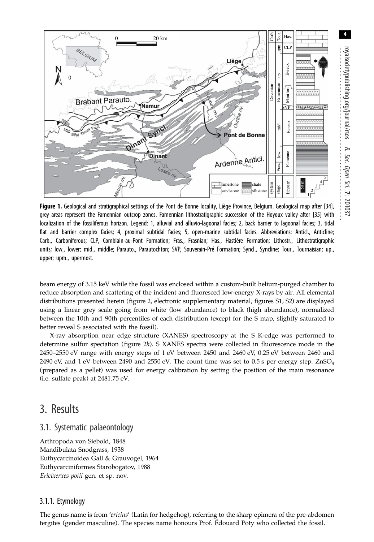<span id="page-3-0"></span>

Figure 1. Geological and stratigraphical settings of the Pont de Bonne locality, Liège Province, Belgium. Geological map after [[34](#page-8-0)], grey areas represent the Famennian outcrop zones. Famennian lithostratigraphic succession of the Hoyoux valley after [\[35\]](#page-8-0) with localization of the fossiliferous horizon. Legend: 1, alluvial and alluvio-lagoonal facies; 2, back barrier to lagoonal facies; 3, tidal flat and barrier complex facies; 4, proximal subtidal facies; 5, open-marine subtidal facies. Abbreviations: Anticl., Anticline; Carb., Carboniferous; CLP, Comblain-au-Pont Formation; Fras., Frasnian; Has., Hastière Formation; Lithostr., Lithostratigraphic units; low., lower; mid., middle; Parauto., Parautochton; SVP, Souverain-Pré Formation; Syncl., Syncline; Tour., Tournaisian; up., upper; upm., upermost.

beam energy of 3.15 keV while the fossil was enclosed within a custom-built helium-purged chamber to reduce absorption and scattering of the incident and fluoresced low-energy X-rays by air. All elemental distributions presented herein [\(figure 2](#page-4-0), electronic supplementary material, figures S1, S2) are displayed using a linear grey scale going from white (low abundance) to black (high abundance), normalized between the 10th and 90th percentiles of each distribution (except for the S map, slightly saturated to better reveal S associated with the fossil).

X-ray absorption near edge structure (XANES) spectroscopy at the S K-edge was performed to determine sulfur speciation [\(figure 2](#page-4-0)h). S XANES spectra were collected in fluorescence mode in the 2450–2550 eV range with energy steps of 1 eV between 2450 and 2460 eV, 0.25 eV between 2460 and 2490 eV, and 1 eV between 2490 and 2550 eV. The count time was set to 0.5 s per energy step.  $ZnSO<sub>4</sub>$ (prepared as a pellet) was used for energy calibration by setting the position of the main resonance (i.e. sulfate peak) at 2481.75 eV.

## 3. Results

### 3.1. Systematic palaeontology

Arthropoda von Siebold, 1848 Mandibulata Snodgrass, 1938 Euthycarcinoidea Gall & Grauvogel, 1964 Euthycarciniformes Starobogatov, 1988 Ericixerxes potii gen. et sp. nov.

### 3.1.1. Etymology

The genus name is from 'ericius' (Latin for hedgehog), referring to the sharp epimera of the pre-abdomen tergites (gender masculine). The species name honours Prof. Édouard Poty who collected the fossil.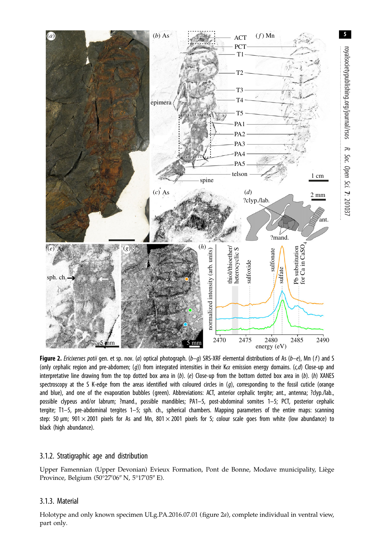<span id="page-4-0"></span>

Figure 2. Ericixerxes potii gen. et sp. nov. (a) optical photograph. (b-g) SRS-XRF elemental distributions of As (b-e), Mn (f) and S (only cephalic region and pre-abdomen; (g)) from integrated intensities in their K $\alpha$  emission energy domains. (c,d) Close-up and interpretative line drawing from the top dotted box area in  $(b)$ . (e) Close-up from the bottom dotted box area in  $(b)$ . (h) XANES spectroscopy at the S K-edge from the areas identified with coloured circles in  $(q)$ , corresponding to the fossil cuticle (orange and blue), and one of the evaporation bubbles (green). Abbreviations: ACT, anterior cephalic tergite; ant., antenna; ?clyp./lab., possible clypeus and/or labrum; ?mand., possible mandibles; PA1–5, post-abdominal somites 1–5; PCT, posterior cephalic tergite; T1–5, pre-abdominal tergites 1–5; sph. ch., spherical chambers. Mapping parameters of the entire maps: scanning step: 50  $\mu$ m; 901  $\times$  2001 pixels for As and Mn, 801  $\times$  2001 pixels for S; colour scale goes from white (low abundance) to black (high abundance).

### 3.1.2. Stratigraphic age and distribution

Upper Famennian (Upper Devonian) Evieux Formation, Pont de Bonne, Modave municipality, Liège Province, Belgium (50°27′06″ N, 5°17′05″ E).

### 3.1.3. Material

Holotype and only known specimen ULg.PA.2016.07.01 (figure 2a), complete individual in ventral view, part only.

5

royalsocietypublishing.org/journal/rsos

royalsocietypublishing.org/journal/rsos

R.

Soc. Open

Sci.

7: 201037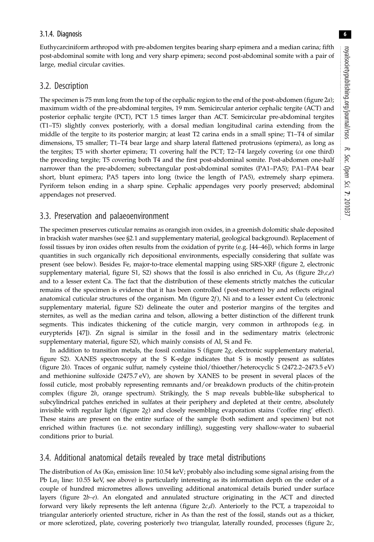6

### 3.1.4. Diagnosis

Euthycarciniform arthropod with pre-abdomen tergites bearing sharp epimera and a median carina; fifth post-abdominal somite with long and very sharp epimera; second post-abdominal somite with a pair of large, medial circular cavities.

### 3.2. Description

The specimen is 75 mm long from the top of the cephalic region to the end of the post-abdomen [\(figure 2](#page-4-0)a); maximum width of the pre-abdominal tergites, 19 mm. Semicircular anterior cephalic tergite (ACT) and posterior cephalic tergite (PCT), PCT 1.5 times larger than ACT. Semicircular pre-abdominal tergites (T1–T5) slightly convex posteriorly, with a dorsal median longitudinal carina extending from the middle of the tergite to its posterior margin; at least T2 carina ends in a small spine; T1–T4 of similar dimensions, T5 smaller; T1–T4 bear large and sharp lateral flattened protrusions (epimera), as long as the tergites; T5 with shorter epimera; T1 covering half the PCT; T2-T4 largely covering (ca one third) the preceding tergite; T5 covering both T4 and the first post-abdominal somite. Post-abdomen one-half narrower than the pre-abdomen; subrectangular post-abdominal somites (PA1–PA5); PA1–PA4 bear short, blunt epimera; PA5 tapers into long (twice the length of PA5), extremely sharp epimera. Pyriform telson ending in a sharp spine. Cephalic appendages very poorly preserved; abdominal appendages not preserved.

### 3.3. Preservation and palaeoenvironment

The specimen preserves cuticular remains as orangish iron oxides, in a greenish dolomitic shale deposited in brackish water marshes (see §2.1 and supplementary material, geological background). Replacement of fossil tissues by iron oxides often results from the oxidation of pyrite (e.g. [\[44](#page-8-0)–[46\]](#page-8-0)), which forms in large quantities in such organically rich depositional environments, especially considering that sulfate was present (see below). Besides Fe, major-to-trace elemental mapping using SRS-XRF ([figure 2](#page-4-0), electronic supplementary material, figure S1, S2) shows that the fossil is also enriched in Cu, As (figure  $2b,c,e$ ) and to a lesser extent Ca. The fact that the distribution of these elements strictly matches the cuticular remains of the specimen is evidence that it has been controlled (post-mortem) by and reflects original anatomical cuticular structures of the organism. Mn (figure  $2f$ ), Ni and to a lesser extent Cu (electronic supplementary material, figure S2) delineate the outer and posterior margins of the tergites and sternites, as well as the median carina and telson, allowing a better distinction of the different trunk segments. This indicates thickening of the cuticle margin, very common in arthropods (e.g. in eurypterids [\[47](#page-8-0)]). Zn signal is similar in the fossil and in the sedimentary matrix (electronic supplementary material, figure S2), which mainly consists of Al, Si and Fe.

In addition to transition metals, the fossil contains  $S$  (figure  $2*g*$ , electronic supplementary material, figure S2). XANES spectroscopy at the S K-edge indicates that S is mostly present as sulfates [\(figure 2](#page-4-0)h). Traces of organic sulfur, namely cysteine thiol/thioether/heterocyclic S (2472.2–2473.5 eV) and methionine sulfoxide (2475.7 eV), are shown by XANES to be present in several places of the fossil cuticle, most probably representing remnants and/or breakdown products of the chitin-protein complex [\(figure 2](#page-4-0)h, orange spectrum). Strikingly, the S map reveals bubble-like subspherical to subcylindrical patches enriched in sulfates at their periphery and depleted at their centre, absolutely invisible with regular light ([figure 2](#page-4-0)g) and closely resembling evaporation stains ('coffee ring' effect). These stains are present on the entire surface of the sample (both sediment and specimen) but not enriched within fractures (i.e. not secondary infilling), suggesting very shallow-water to subaerial conditions prior to burial.

### 3.4. Additional anatomical details revealed by trace metal distributions

The distribution of As ( $K\alpha_1$  emission line: 10.54 keV; probably also including some signal arising from the Pb L $\alpha_1$  line: 10.55 keV, see above) is particularly interesting as its information depth on the order of a couple of hundred micrometres allows unveiling additional anatomical details buried under surface layers (figure  $2b-e$ ). An elongated and annulated structure originating in the ACT and directed forward very likely represents the left antenna (figure  $2c/d$ ). Anteriorly to the PCT, a trapezoidal to triangular anteriorly oriented structure, richer in As than the rest of the fossil, stands out as a thicker, or more sclerotized, plate, covering posteriorly two triangular, laterally rounded, processes (figure  $2c$ ,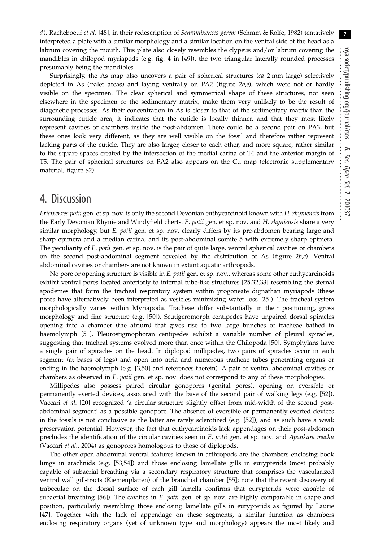d). Racheboeuf et al. [\[48](#page-8-0)], in their redescription of Schramixerxes gerem (Schram & Rolfe, 1982) tentatively interpreted a plate with a similar morphology and a similar location on the ventral side of the head as a labrum covering the mouth. This plate also closely resembles the clypeus and/or labrum covering the mandibles in chilopod myriapods (e.g. fig. 4 in [[49\]](#page-8-0)), the two triangular laterally rounded processes presumably being the mandibles.

Surprisingly, the As map also uncovers a pair of spherical structures (ca 2 mm large) selectively depleted in As (paler areas) and laying ventrally on PA2 (figure  $2b,e$ ), which were not or hardly visible on the specimen. The clear spherical and symmetrical shape of these structures, not seen elsewhere in the specimen or the sedimentary matrix, make them very unlikely to be the result of diagenetic processes. As their concentration in As is closer to that of the sedimentary matrix than the surrounding cuticle area, it indicates that the cuticle is locally thinner, and that they most likely represent cavities or chambers inside the post-abdomen. There could be a second pair on PA3, but these ones look very different, as they are well visible on the fossil and therefore rather represent lacking parts of the cuticle. They are also larger, closer to each other, and more square, rather similar to the square spaces created by the intersection of the medial carina of T4 and the anterior margin of T5. The pair of spherical structures on PA2 also appears on the Cu map (electronic supplementary material, figure S2).

### 4. Discussion

Ericixerxes potii gen. et sp. nov. is only the second Devonian euthycarcinoid known with H. rhyniensis from the Early Devonian Rhynie and Windyfield cherts. E. potii gen. et sp. nov. and H. rhyniensis share a very similar morphology, but *E. potii* gen. et sp. nov. clearly differs by its pre-abdomen bearing large and sharp epimera and a median carina, and its post-abdominal somite 5 with extremely sharp epimera. The peculiarity of E. potii gen. et sp. nov. is the pair of quite large, ventral spherical cavities or chambers on the second post-abdominal segment revealed by the distribution of As (figure  $2b,e$ ). Ventral abdominal cavities or chambers are not known in extant aquatic arthropods.

No pore or opening structure is visible in E. potii gen. et sp. nov., whereas some other euthycarcinoids exhibit ventral pores located anteriorly to internal tube-like structures [[25,32,33](#page-8-0)] resembling the sternal apodemes that form the tracheal respiratory system within progoneate dignathan myriapods (these pores have alternatively been interpreted as vesicles minimizing water loss [\[25](#page-8-0)]). The tracheal system morphologically varies within Myriapoda. Tracheae differ substantially in their positioning, gross morphology and fine structure (e.g. [\[50](#page-8-0)]). Scutigeromorph centipedes have unpaired dorsal spiracles opening into a chamber (the atrium) that gives rise to two large bunches of tracheae bathed in haemolymph [\[51](#page-8-0)]. Pleurostigmophoran centipedes exhibit a variable number of pleural spiracles, suggesting that tracheal systems evolved more than once within the Chilopoda [[50\]](#page-8-0). Symphylans have a single pair of spiracles on the head. In diplopod millipedes, two pairs of spiracles occur in each segment (at bases of legs) and open into atria and numerous tracheae tubes penetrating organs or ending in the haemolymph (e.g. [\[3,](#page-7-0)[50\]](#page-8-0) and references therein). A pair of ventral abdominal cavities or chambers as observed in *E. potii gen.* et sp. nov. does not correspond to any of these morphologies.

Millipedes also possess paired circular gonopores (genital pores), opening on eversible or permanently everted devices, associated with the base of the second pair of walking legs (e.g. [\[52](#page-8-0)]). Vaccari et al. [\[20](#page-7-0)] recognized 'a circular structure slightly offset from mid-width of the second postabdominal segment' as a possible gonopore. The absence of eversible or permanently everted devices in the fossils is not conclusive as the latter are rarely sclerotized (e.g. [[52\]](#page-8-0)), and as such have a weak preservation potential. However, the fact that euthycarcinoids lack appendages on their post-abdomen precludes the identification of the circular cavities seen in  $E$ . potii gen. et sp. nov. and Apankura machu (Vaccari et al., 2004) as gonopores homologous to those of diplopods.

The other open abdominal ventral features known in arthropods are the chambers enclosing book lungs in arachnids (e.g. [[53,54\]](#page-8-0)) and those enclosing lamellate gills in eurypterids (most probably capable of subaerial breathing via a secondary respiratory structure that comprises the vascularized ventral wall gill-tracts (Kiemenplatten) of the branchial chamber [\[55](#page-8-0)]; note that the recent discovery of trabeculae on the dorsal surface of each gill lamella confirms that eurypterids were capable of subaerial breathing [[56\]](#page-8-0)). The cavities in E. potii gen. et sp. nov. are highly comparable in shape and position, particularly resembling those enclosing lamellate gills in eurypterids as figured by Laurie [\[47](#page-8-0)]. Together with the lack of appendage on these segments, a similar function as chambers enclosing respiratory organs (yet of unknown type and morphology) appears the most likely and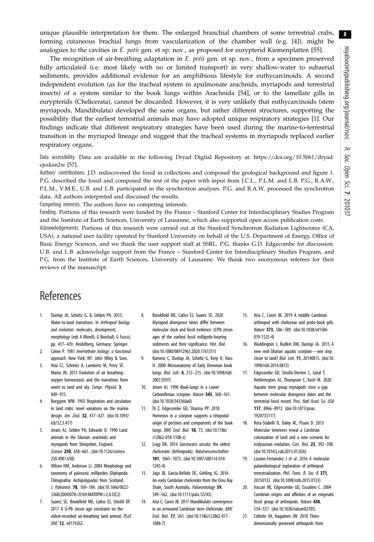8

<span id="page-7-0"></span>unique plausible interpretation for them. The enlarged branchial chambers of some terrestrial crabs, forming cutaneous brachial lungs from vascularization of the chamber wall (e.g. [4]), might be analogues to the cavities in E. potii gen. et sp. nov., as proposed for eurypterid Kiemenplatten [\[55](#page-8-0)].

The recognition of air-breathing adaptation in E. potii gen. et sp. nov., from a specimen preserved fully articulated (i.e. most likely with no or limited transport) in very shallow-water to subaerial sediments, provides additional evidence for an amphibious lifestyle for euthycarcinoids. A second independent evolution (as for the tracheal system in apulmonate arachnids, myriapods and terrestrial insects) of a system similar to the book lungs within Arachnida [\[54](#page-8-0)], or to the lamellate gills in eurypterids (Chelicerata), cannot be discarded. However, it is very unlikely that euthycarcinoids (stem myriapods, Mandibulata) developed the same organs, but rather different structures, supporting the possibility that the earliest terrestrial animals may have adopted unique respiratory strategies [1]. Our findings indicate that different respiratory strategies have been used during the marine-to-terrestrial transition in the myriapod lineage and suggest that the tracheal systems in myriapods replaced earlier respiratory organs.

Data accessibility. Data are available in the following Dryad Digital Repository at: [https://doi.org/10.5061/dryad.](https://doi.org/10.5061/dryad.cjsxksn2w) [cjsxksn2w](https://doi.org/10.5061/dryad.cjsxksn2w) [\[57](#page-8-0)].

Authors' contributions. J.D. rediscovered the fossil in collections and composed the geological background and [figure 1](#page-3-0). P.G. described the fossil and composed the rest of the paper with input from J.C.L., P.L.M. and L.B. P.G., R.A.W., P.L.M., V.M.E., U.B. and L.B. participated in the synchrotron analyses. P.G. and R.A.W. processed the synchrotron data. All authors interpreted and discussed the results.

Competing interests. The authors have no competing interests.

Funding. Portions of this research were funded by the France – Stanford Center for Interdisciplinary Studies Program and the Institute of Earth Sciences, University of Lausanne, which also supported open access publication costs.

Acknowledgements. Portions of this research were carried out at the Stanford Synchrotron Radiation Lightsource (CA, USA), a national user facility operated by Stanford University on behalf of the U.S. Department of Energy, Office of Basic Energy Sciences, and we thank the user support staff at SSRL. P.G. thanks G.D. Edgecombe for discussion. U.B. and L.B. acknowledge support from the France – Stanford Center for Interdisciplinary Studies Program, and P.G. from the Institute of Earth Sciences, University of Lausanne. We thank two anonymous referees for their reviews of the manuscript.

# References

- 1. Dunlop JA, Scholtz G, & Selden PA. 2013. Water-to-land transitions. In Arthropod biology and evolution: molecules, development, morphology (eds A Minelli, G Boxshall, G Fusco), pp. 417–439. Heidelberg, Germany: Springer.
- 2. Calow P. 1981 Invertebrate biology: a functional approach. New York, NY: John Wiley & Sons.
- 3. Hsia CC, Schmitz A, Lambertz M, Perry SF, Maina JN. 2013 Evolution of air breathing: oxygen homeostasis and the transitions from water to land and sky. Compr. Physiol. 3, 849–915.
- 4. Burggren WW. 1992 Respiration and circulation in land crabs: novel variations on the marine design. Am. Zool. 32, 417–427. [\(doi:10.1093/](http://dx.doi.org/10.1093/icb/32.3.417) [icb/32.3.417](http://dx.doi.org/10.1093/icb/32.3.417))
- 5. Jeram AJ, Selden PA, Edwards D. 1990 Land animals in the Silurian: arachnids and myriapods from Shropshire, England. Science 250, 658–661. [\(doi:10.1126/science.](http://dx.doi.org/10.1126/science.250.4981.658) [250.4981.658](http://dx.doi.org/10.1126/science.250.4981.658))
- 6. Wilson HM, Anderson LI. 2004 Morphology and taxonomy of paleozoic millipedes (Diplopoda: Chilognatha: Archipolypoda) from Scotland. J. Paleontol. 78, 169–184. [\(doi:10.1666/0022-](http://dx.doi.org/10.1666/0022-3360(2004)078%3C0169:MATOPM%3E2.0.CO;2) [3360\(2004\)078<0169:MATOPM>2.0.CO;2](http://dx.doi.org/10.1666/0022-3360(2004)078%3C0169:MATOPM%3E2.0.CO;2))
- 7. Suarez SE, Brookfield ME, Catlos EJ, Stöckli DF. 2017 A U-Pb zircon age constraint on the oldest-recorded air-breathing land animal. PLoS ONE 12, e0179262.
- 8. Brookfield ME, Catlos EJ, Suarez SE. 2020 Myriapod divergence times differ between molecular clock and fossil evidence: U/Pb zircon ages of the earliest fossil millipede-bearing sediments and their significance. Hist. Biol. ([doi:10.1080/08912963.2020.1761351\)](http://dx.doi.org/10.1080/08912963.2020.1761351)
- 9. Kamenz C, Dunlop JA, Scholtz G, Kerp H, Hass H. 2008 Microanatomy of Early Devonian book lungs. Biol. Lett. 4, 212–215. [\(doi:10.1098/rsbl.](http://dx.doi.org/10.1098/rsbl.2007.0597) [2007.0597\)](http://dx.doi.org/10.1098/rsbl.2007.0597)
- 10. Jeram AJ. 1990 Book-lungs in a Lower Carboniferous scorpion. Nature 343, 360–361. ([doi:10.1038/343360a0\)](http://dx.doi.org/10.1038/343360a0)
- 11. Di Z, Edgecombe GD, Sharma PP. 2018 Homeosis in a scorpion supports a telopodal origin of pectines and components of the book lungs. BMC Evol. Biol. 18, 73. ([doi:10.1186/](http://dx.doi.org/10.1186/s12862-018-1188-z) [s12862-018-1188-z](http://dx.doi.org/10.1186/s12862-018-1188-z))
- 12. Legg DA. 2014 Sanctacaris uncata: the oldest chelicerate (Arthropoda). Naturwissenschaften 101, 1065–1073. [\(doi:10.1007/s00114-014-](http://dx.doi.org/10.1007/s00114-014-1245-4) [1245-4\)](http://dx.doi.org/10.1007/s00114-014-1245-4)
- 13. Jago JB, García-Bellido DC, Gehling JG. 2016 An early Cambrian chelicerate from the Emu Bay Shale, South Australia. Palaeontology 59, 549–562. [\(doi:10.1111/pala.12243](http://dx.doi.org/10.1111/pala.12243))
- 14. Aria C, Caron JB. 2017 Mandibulate convergence in an armoured Cambrian stem chelicerate. BMC Evol. Biol. 17, 261. [\(doi:10.1186/s12862-017-](http://dx.doi.org/10.1186/s12862-017-1088-7) [1088-7\)](http://dx.doi.org/10.1186/s12862-017-1088-7)
- 15. Aria C, Caron JB. 2019 A middle Cambrian arthropod with chelicerae and proto-book gills. Nature 573, 586–589. ([doi:10.1038/s41586-](http://dx.doi.org/10.1038/s41586-019-1525-4) [019-1525-4](http://dx.doi.org/10.1038/s41586-019-1525-4))
- 16. Waddington J, Rudkin DM, Dunlop JA. 2015 A new mid-Silurian aquatic scorpion—one step closer to land? Biol. Lett. 11, 20140815. ([doi:10.](http://dx.doi.org/10.1098/rsbl.2014.0815) [1098/rsbl.2014.0815](http://dx.doi.org/10.1098/rsbl.2014.0815))
- 17. Edgecombe GD, Strullu-Derrien C, Góral T, Hetherington AJ, Thompson C, Koch M. 2020 Aquatic stem group myriapods close a gap between molecular divergence dates and the terrestrial fossil record. Proc. Natl Acad. Sci. USA 117, 8966–8972. ([doi:10.1073/pnas.](http://dx.doi.org/10.1073/pnas.1920733117) [1920733117\)](http://dx.doi.org/10.1073/pnas.1920733117)
- 18. Rota-Stabelli O, Daley AC, Pisani D. 2013 Molecular timetrees reveal a Cambrian colonization of land and a new scenario for ecdysozoan evolution. Curr. Biol. 23, 392–398. [\(doi:10.1016/j.cub.2013.01.026\)](http://dx.doi.org/10.1016/j.cub.2013.01.026)
- 19. Lozano-Fernandez J et al. 2016 A molecular palaeobiological exploration of arthropod terrestrialization. Phil. Trans. R. Soc. B 371, 20150133. ([doi:10.1098/rstb.2015.0133\)](http://dx.doi.org/10.1098/rstb.2015.0133)
- 20. Vaccari NE, Edgecombe GD, Escudero C. 2004 Cambrian origins and affinities of an enigmatic fossil group of arthropods. Nature 430, 554–557. ([doi:10.1038/nature02705\)](http://dx.doi.org/10.1038/nature02705)
- 21. Collette JH, Hagadorn JW. 2010 Threedimensionally preserved arthropods from